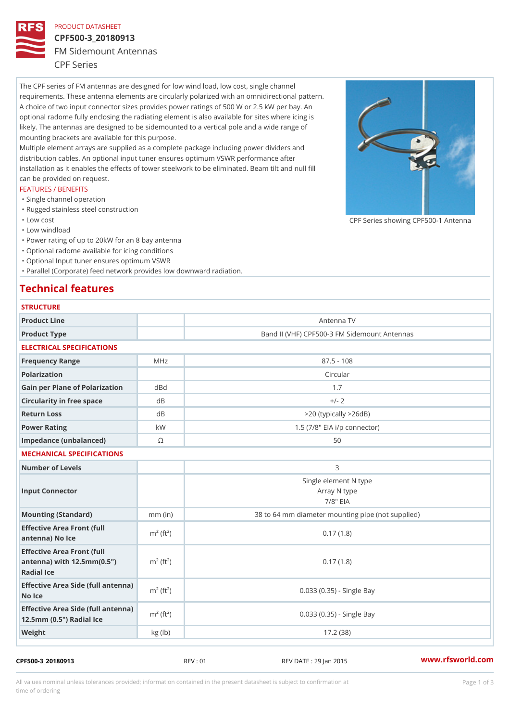### PRODUCT DATASHEET

# CPF500-3\_20180913 FM Sidemount Antennas CPF Series

The CPF series of FM antennas are designed for low wind load, low cost, single channel requirements. These antenna elements are circularly polarized with an omnidirectional pattern. A choice of two input connector sizes provides power ratings of 500 W or 2.5 kW per bay. An optional radome fully enclosing the radiating element is also available for sites where icing is likely. The antennas are designed to be sidemounted to a vertical pole and a wide range of mounting brackets are available for this purpose. Multiple element arrays are supplied as a complete package including power dividers and distribution cables. An optional input tuner ensures optimum VSWR performance after installation as it enables the effects of tower steelwork to be eliminated. Beam tilt and null fill can be provided on request.

# FEATURES / BENEFITS

- "Single channel operation
- "Rugged stainless steel construction
- "Low cost

"Low windload

"Power rating of up to 20kW for an 8 bay antenna

- "Optional radome available for icing conditions
- "Optional Input tuner ensures optimum VSWR

"Parallel (Corporate) feed network provides low downward radiation.

## Technical features

| <b>STRUCTURE</b>                                                                                |                       |                                                      |  |
|-------------------------------------------------------------------------------------------------|-----------------------|------------------------------------------------------|--|
| Product Line                                                                                    |                       | Antenna TV                                           |  |
| Product Type                                                                                    |                       | Band II (VHF) CPF500-3 FM Sidemount Antennas         |  |
| ELECTRICAL SPECIFICATIONS                                                                       |                       |                                                      |  |
| Frequency Range                                                                                 | MHz                   | $87.5 - 108$                                         |  |
| Polarization                                                                                    |                       | Circular                                             |  |
| Gain per Plane of Polarizat doBnd                                                               |                       | 1.7                                                  |  |
| Circularity in free space                                                                       | d B                   | $+/- 2$                                              |  |
| Return Loss                                                                                     | $d$ B                 | $>$ 20 (typically $>$ 26dB)                          |  |
| Power Rating                                                                                    | k W                   | 1.5 $(7/8"$ EIA i/p connector)                       |  |
| Impedance (unbalanced)                                                                          | $\odot$               | 50                                                   |  |
| MECHANICAL SPECIFICATIONS                                                                       |                       |                                                      |  |
| Number of Levels                                                                                |                       | 3                                                    |  |
| Input Connector                                                                                 |                       | Single element N type<br>Array N type<br>$7/8$ " EIA |  |
| Mounting (Standard)                                                                             | $mm$ (in)             | 38 to 64 mm diameter mounting pipe (not supplied)    |  |
| Effective Area Front (full<br>antenna) No Ice                                                   | $m2$ (ft <sup>2</sup> | 0.17(1.8)                                            |  |
| Effective Area Front (full<br>antenna) with 12.5mm (0.5" $m^2$ (ft <sup>2</sup> )<br>Radial Ice |                       | 0.17(1.8)                                            |  |
| Effective Area Side (full antenna)<br>No Ice                                                    |                       | $0.033$ $(0.35)$ - Single Bay                        |  |
| Effective Area Side (full antenna)<br>12.5mm (0.5") Radial Ice                                  |                       | 0.033 (0.35) - Single Bay                            |  |
| Weight                                                                                          | kg (1b)               | 17.2(38)                                             |  |

#### CPF500-3\_20180913 REV : 01 REV DATE : 29 Jan 2015 [www.](https://www.rfsworld.com)rfsworld.com

All values nominal unless tolerances provided; information contained in the present datasheet is subject to Pcapgeign mation time of ordering

CPF Series showing CPF500-1 And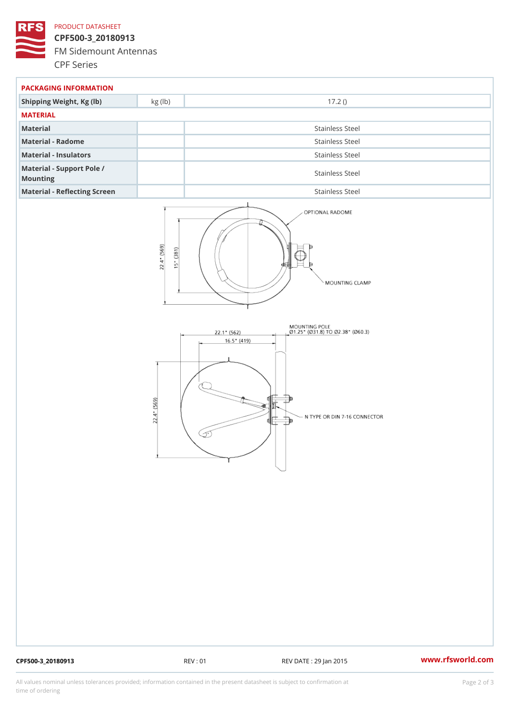### PRODUCT DATASHEET

CPF500-3\_20180913 FM Sidemount Antennas CPF Series

| PACKAGING INFORMATION                 |                 |  |  |
|---------------------------------------|-----------------|--|--|
| Shipping Weight, Kg (lb) kg (lb)      | 17.2()          |  |  |
| MATERIAL                              |                 |  |  |
| Material                              | Stainless Steel |  |  |
| Material - Radome                     | Stainless Steel |  |  |
| Material - Insulators                 | Stainless Steel |  |  |
| Material - Support Pole /<br>Mounting | Stainless Steel |  |  |
| Material - Reflecting Screen          | Stainless Steel |  |  |

CPF500-3\_20180913 REV : 01 REV DATE : 29 Jan 2015 [www.](https://www.rfsworld.com)rfsworld.com